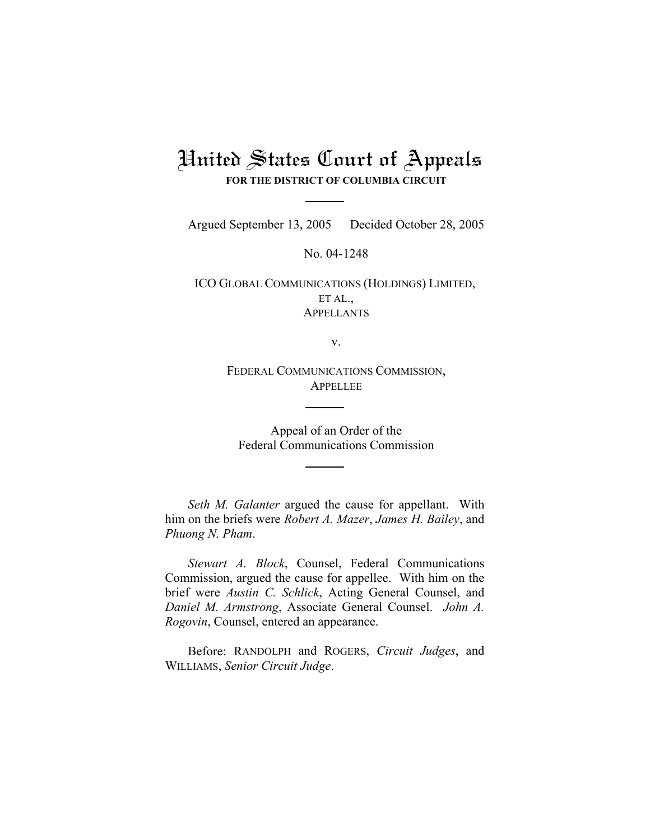## United States Court of Appeals **FOR THE DISTRICT OF COLUMBIA CIRCUIT**

Argued September 13, 2005 Decided October 28, 2005

No. 04-1248

ICO GLOBAL COMMUNICATIONS (HOLDINGS) LIMITED, ET AL., **APPELLANTS** 

v.

FEDERAL COMMUNICATIONS COMMISSION, APPELLEE

Appeal of an Order of the Federal Communications Commission

*Seth M. Galanter* argued the cause for appellant. With him on the briefs were *Robert A. Mazer*, *James H. Bailey*, and *Phuong N. Pham*.

*Stewart A. Block*, Counsel, Federal Communications Commission, argued the cause for appellee. With him on the brief were *Austin C. Schlick*, Acting General Counsel, and *Daniel M. Armstrong*, Associate General Counsel. *John A. Rogovin*, Counsel, entered an appearance.

Before: RANDOLPH and ROGERS, *Circuit Judges*, and WILLIAMS, *Senior Circuit Judge*.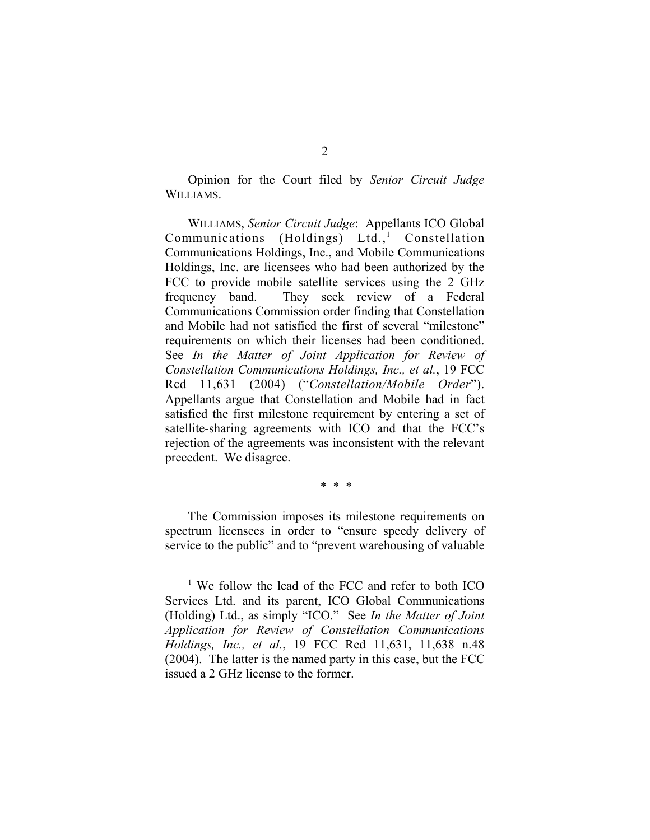Opinion for the Court filed by *Senior Circuit Judge* WILLIAMS.

WILLIAMS, *Senior Circuit Judge*: Appellants ICO Global Communications (Holdings) Ltd.,<sup>1</sup> Constellation Communications Holdings, Inc., and Mobile Communications Holdings, Inc. are licensees who had been authorized by the FCC to provide mobile satellite services using the 2 GHz frequency band. They seek review of a Federal Communications Commission order finding that Constellation and Mobile had not satisfied the first of several "milestone" requirements on which their licenses had been conditioned. See *In the Matter of Joint Application for Review of Constellation Communications Holdings, Inc., et al.*, 19 FCC Rcd 11,631 (2004) ("*Constellation/Mobile Order*"). Appellants argue that Constellation and Mobile had in fact satisfied the first milestone requirement by entering a set of satellite-sharing agreements with ICO and that the FCC's rejection of the agreements was inconsistent with the relevant precedent. We disagree.

\* \* \*

The Commission imposes its milestone requirements on spectrum licensees in order to "ensure speedy delivery of service to the public" and to "prevent warehousing of valuable

<sup>&</sup>lt;sup>1</sup> We follow the lead of the FCC and refer to both ICO Services Ltd. and its parent, ICO Global Communications (Holding) Ltd., as simply "ICO." See *In the Matter of Joint Application for Review of Constellation Communications Holdings, Inc., et al.*, 19 FCC Rcd 11,631, 11,638 n.48 (2004). The latter is the named party in this case, but the FCC issued a 2 GHz license to the former.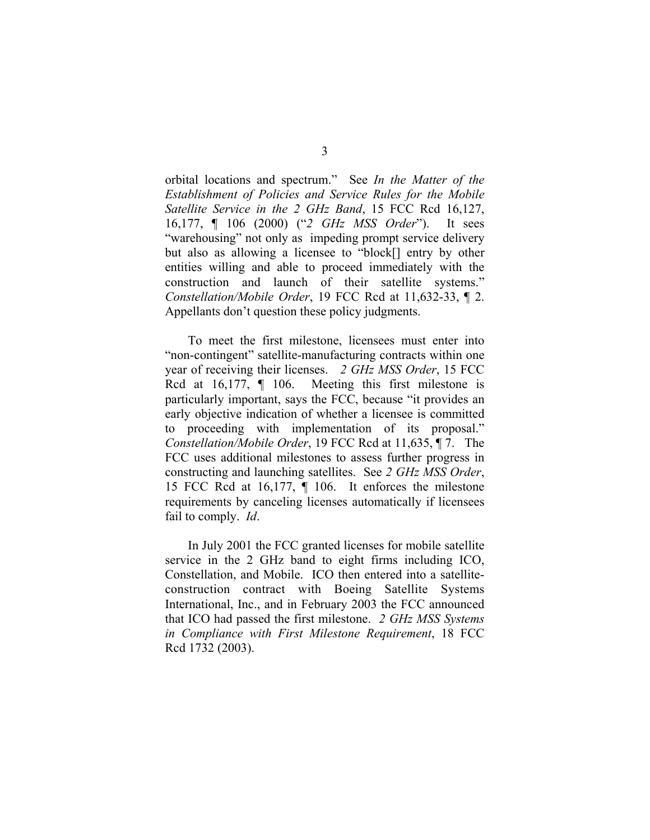orbital locations and spectrum." See *In the Matter of the Establishment of Policies and Service Rules for the Mobile Satellite Service in the 2 GHz Band*, 15 FCC Rcd 16,127, 16,177, ¶ 106 (2000) ("*2 GHz MSS Order*"). It sees "warehousing" not only as impeding prompt service delivery but also as allowing a licensee to "block[] entry by other entities willing and able to proceed immediately with the construction and launch of their satellite systems." *Constellation/Mobile Order*, 19 FCC Rcd at 11,632-33, ¶ 2. Appellants don't question these policy judgments.

To meet the first milestone, licensees must enter into "non-contingent" satellite-manufacturing contracts within one year of receiving their licenses. *2 GHz MSS Order*, 15 FCC Rcd at 16,177,  $\parallel$  106. Meeting this first milestone is particularly important, says the FCC, because "it provides an early objective indication of whether a licensee is committed to proceeding with implementation of its proposal." *Constellation/Mobile Order*, 19 FCC Rcd at 11,635, ¶ 7. The FCC uses additional milestones to assess further progress in constructing and launching satellites. See *2 GHz MSS Order*, 15 FCC Rcd at 16,177, ¶ 106. It enforces the milestone requirements by canceling licenses automatically if licensees fail to comply. *Id*.

In July 2001 the FCC granted licenses for mobile satellite service in the 2 GHz band to eight firms including ICO, Constellation, and Mobile. ICO then entered into a satelliteconstruction contract with Boeing Satellite Systems International, Inc., and in February 2003 the FCC announced that ICO had passed the first milestone. *2 GHz MSS Systems in Compliance with First Milestone Requirement*, 18 FCC Rcd 1732 (2003).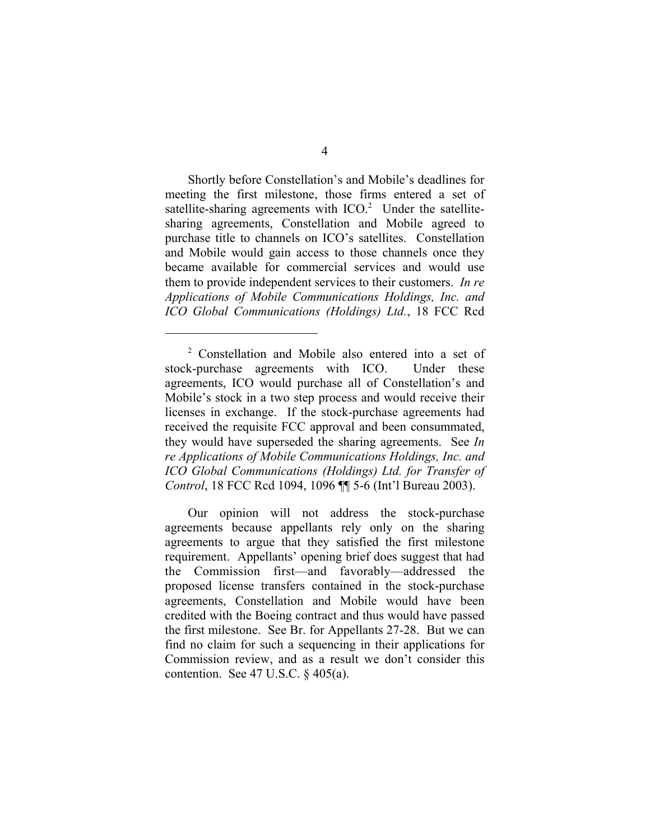Shortly before Constellation's and Mobile's deadlines for meeting the first milestone, those firms entered a set of satellite-sharing agreements with  $ICO.<sup>2</sup>$  Under the satellitesharing agreements, Constellation and Mobile agreed to purchase title to channels on ICO's satellites. Constellation and Mobile would gain access to those channels once they became available for commercial services and would use them to provide independent services to their customers. *In re Applications of Mobile Communications Holdings, Inc. and ICO Global Communications (Holdings) Ltd.*, 18 FCC Rcd

Our opinion will not address the stock-purchase agreements because appellants rely only on the sharing agreements to argue that they satisfied the first milestone requirement. Appellants' opening brief does suggest that had the Commission first—and favorably—addressed the proposed license transfers contained in the stock-purchase agreements, Constellation and Mobile would have been credited with the Boeing contract and thus would have passed the first milestone. See Br. for Appellants 27-28. But we can find no claim for such a sequencing in their applications for Commission review, and as a result we don't consider this contention. See 47 U.S.C. § 405(a).

<sup>2</sup> Constellation and Mobile also entered into a set of stock-purchase agreements with ICO. Under these agreements, ICO would purchase all of Constellation's and Mobile's stock in a two step process and would receive their licenses in exchange. If the stock-purchase agreements had received the requisite FCC approval and been consummated, they would have superseded the sharing agreements. See *In re Applications of Mobile Communications Holdings, Inc. and ICO Global Communications (Holdings) Ltd. for Transfer of Control*, 18 FCC Rcd 1094, 1096 ¶¶ 5-6 (Int'l Bureau 2003).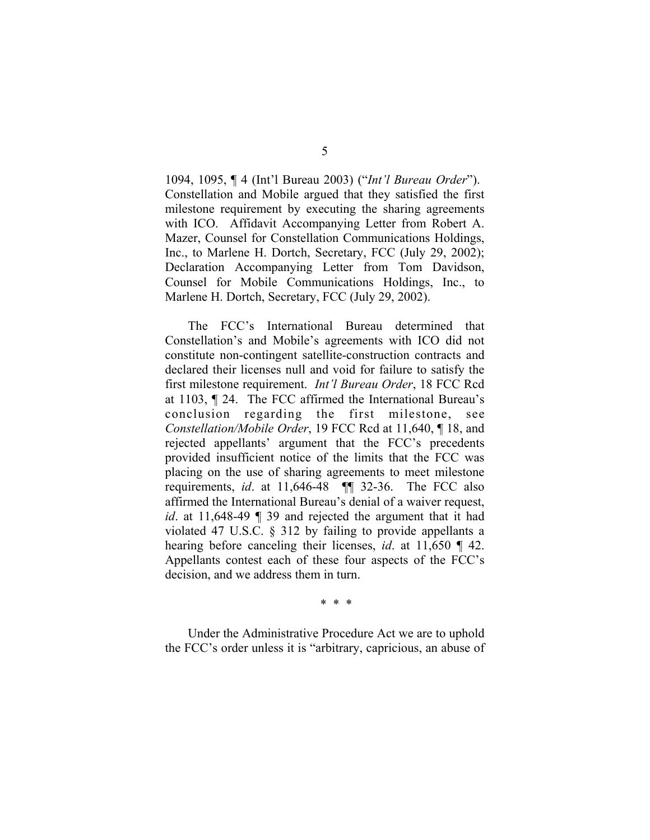1094, 1095, ¶ 4 (Int'l Bureau 2003) ("*Int'l Bureau Order*"). Constellation and Mobile argued that they satisfied the first milestone requirement by executing the sharing agreements with ICO. Affidavit Accompanying Letter from Robert A. Mazer, Counsel for Constellation Communications Holdings, Inc., to Marlene H. Dortch, Secretary, FCC (July 29, 2002); Declaration Accompanying Letter from Tom Davidson, Counsel for Mobile Communications Holdings, Inc., to Marlene H. Dortch, Secretary, FCC (July 29, 2002).

The FCC's International Bureau determined that Constellation's and Mobile's agreements with ICO did not constitute non-contingent satellite-construction contracts and declared their licenses null and void for failure to satisfy the first milestone requirement. *Int'l Bureau Order*, 18 FCC Rcd at 1103, ¶ 24. The FCC affirmed the International Bureau's conclusion regarding the first milestone, see *Constellation/Mobile Order*, 19 FCC Rcd at 11,640, ¶ 18, and rejected appellants' argument that the FCC's precedents provided insufficient notice of the limits that the FCC was placing on the use of sharing agreements to meet milestone requirements, *id*. at 11,646-48 ¶¶ 32-36. The FCC also affirmed the International Bureau's denial of a waiver request, *id*. at 11,648-49 ¶ 39 and rejected the argument that it had violated 47 U.S.C. § 312 by failing to provide appellants a hearing before canceling their licenses, *id*. at 11,650 ¶ 42. Appellants contest each of these four aspects of the FCC's decision, and we address them in turn.

\* \* \*

Under the Administrative Procedure Act we are to uphold the FCC's order unless it is "arbitrary, capricious, an abuse of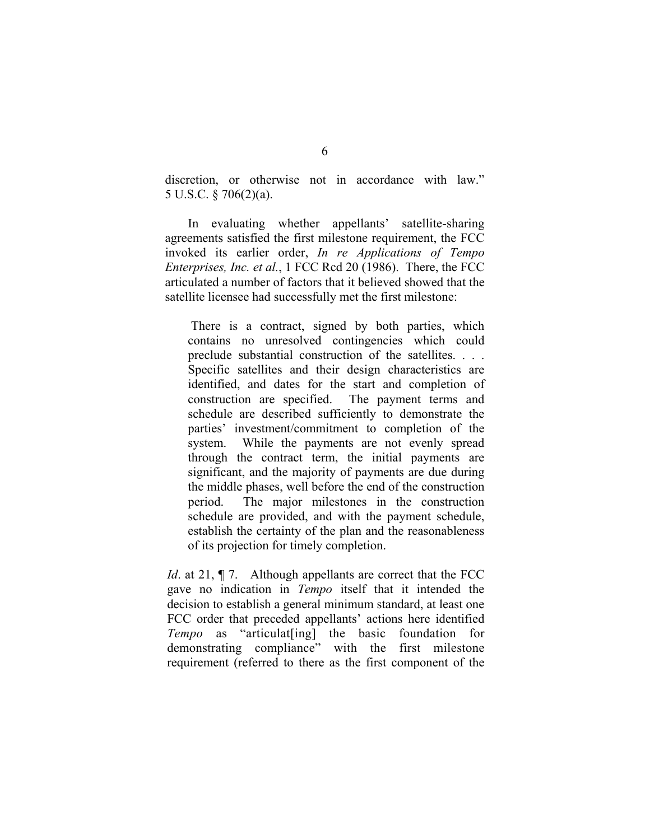discretion, or otherwise not in accordance with law." 5 U.S.C. § 706(2)(a).

In evaluating whether appellants' satellite-sharing agreements satisfied the first milestone requirement, the FCC invoked its earlier order, *In re Applications of Tempo Enterprises, Inc. et al.*, 1 FCC Rcd 20 (1986). There, the FCC articulated a number of factors that it believed showed that the satellite licensee had successfully met the first milestone:

There is a contract, signed by both parties, which contains no unresolved contingencies which could preclude substantial construction of the satellites. . . . Specific satellites and their design characteristics are identified, and dates for the start and completion of construction are specified. The payment terms and schedule are described sufficiently to demonstrate the parties' investment/commitment to completion of the system. While the payments are not evenly spread through the contract term, the initial payments are significant, and the majority of payments are due during the middle phases, well before the end of the construction period. The major milestones in the construction schedule are provided, and with the payment schedule, establish the certainty of the plan and the reasonableness of its projection for timely completion.

*Id.* at 21,  $\P$  7. Although appellants are correct that the FCC gave no indication in *Tempo* itself that it intended the decision to establish a general minimum standard, at least one FCC order that preceded appellants' actions here identified *Tempo* as "articulat[ing] the basic foundation for demonstrating compliance" with the first milestone requirement (referred to there as the first component of the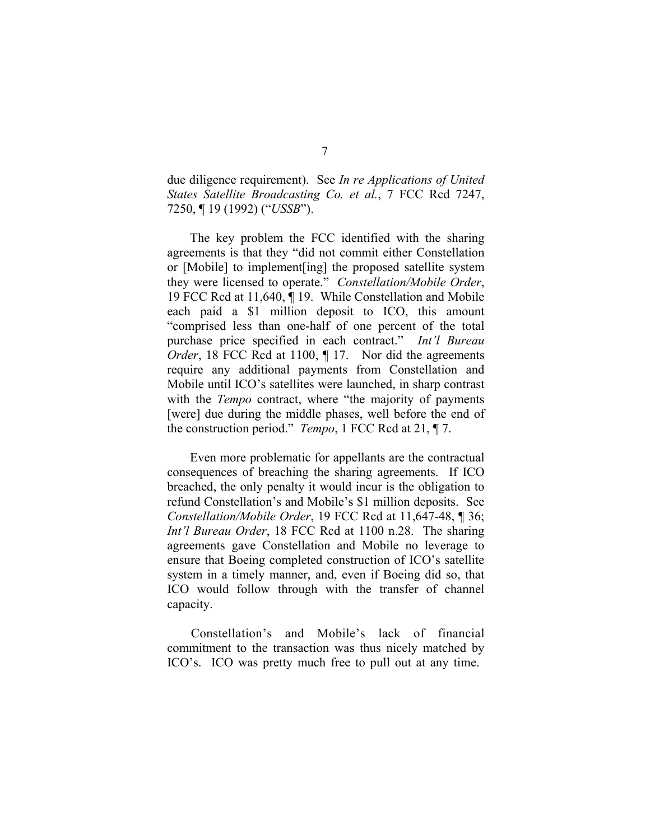due diligence requirement). See *In re Applications of United States Satellite Broadcasting Co. et al.*, 7 FCC Rcd 7247, 7250, ¶ 19 (1992) ("*USSB*").

The key problem the FCC identified with the sharing agreements is that they "did not commit either Constellation or [Mobile] to implement[ing] the proposed satellite system they were licensed to operate." *Constellation/Mobile Order*, 19 FCC Rcd at 11,640, ¶ 19. While Constellation and Mobile each paid a \$1 million deposit to ICO, this amount "comprised less than one-half of one percent of the total purchase price specified in each contract." *Int'l Bureau Order*, 18 FCC Rcd at 1100,  $\P$  17. Nor did the agreements require any additional payments from Constellation and Mobile until ICO's satellites were launched, in sharp contrast with the *Tempo* contract, where "the majority of payments" [were] due during the middle phases, well before the end of the construction period." *Tempo*, 1 FCC Rcd at 21, ¶ 7.

Even more problematic for appellants are the contractual consequences of breaching the sharing agreements. If ICO breached, the only penalty it would incur is the obligation to refund Constellation's and Mobile's \$1 million deposits. See *Constellation/Mobile Order*, 19 FCC Rcd at 11,647-48, ¶ 36; *Int'l Bureau Order*, 18 FCC Rcd at 1100 n.28. The sharing agreements gave Constellation and Mobile no leverage to ensure that Boeing completed construction of ICO's satellite system in a timely manner, and, even if Boeing did so, that ICO would follow through with the transfer of channel capacity.

Constellation's and Mobile's lack of financial commitment to the transaction was thus nicely matched by ICO's. ICO was pretty much free to pull out at any time.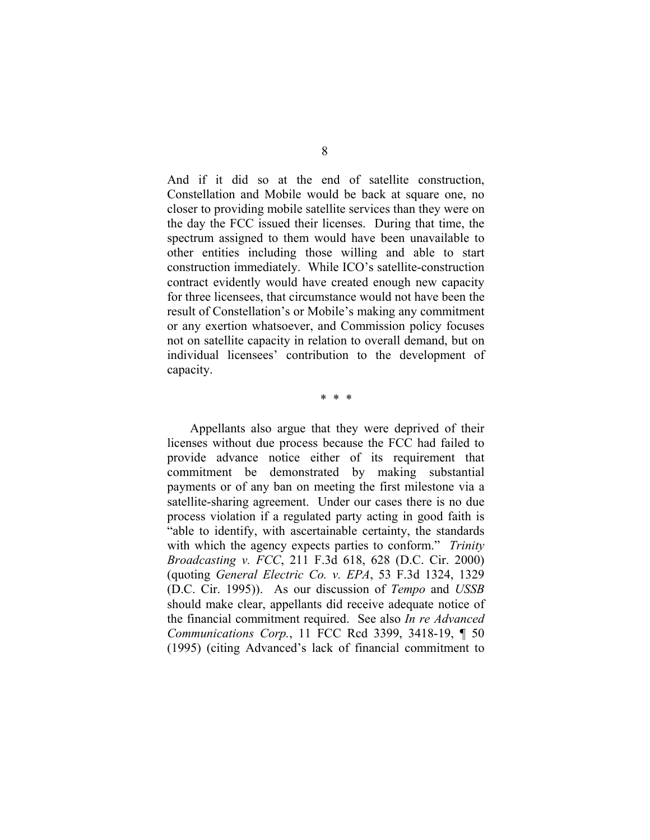And if it did so at the end of satellite construction, Constellation and Mobile would be back at square one, no closer to providing mobile satellite services than they were on the day the FCC issued their licenses. During that time, the spectrum assigned to them would have been unavailable to other entities including those willing and able to start construction immediately. While ICO's satellite-construction contract evidently would have created enough new capacity for three licensees, that circumstance would not have been the result of Constellation's or Mobile's making any commitment or any exertion whatsoever, and Commission policy focuses not on satellite capacity in relation to overall demand, but on individual licensees' contribution to the development of capacity.

\* \* \*

Appellants also argue that they were deprived of their licenses without due process because the FCC had failed to provide advance notice either of its requirement that commitment be demonstrated by making substantial payments or of any ban on meeting the first milestone via a satellite-sharing agreement. Under our cases there is no due process violation if a regulated party acting in good faith is "able to identify, with ascertainable certainty, the standards with which the agency expects parties to conform." *Trinity Broadcasting v. FCC*, 211 F.3d 618, 628 (D.C. Cir. 2000) (quoting *General Electric Co. v. EPA*, 53 F.3d 1324, 1329 (D.C. Cir. 1995)). As our discussion of *Tempo* and *USSB* should make clear, appellants did receive adequate notice of the financial commitment required. See also *In re Advanced Communications Corp.*, 11 FCC Rcd 3399, 3418-19, ¶ 50 (1995) (citing Advanced's lack of financial commitment to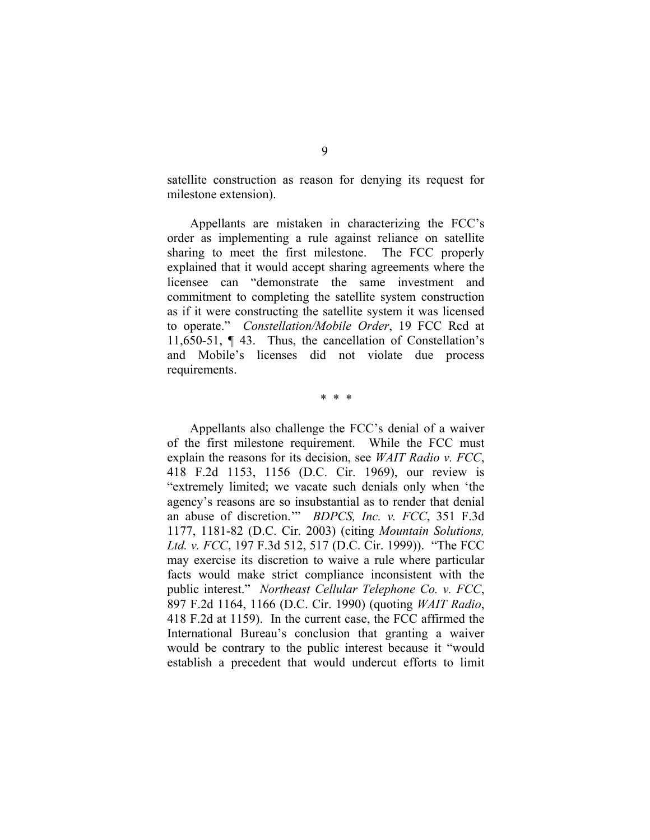satellite construction as reason for denying its request for milestone extension).

Appellants are mistaken in characterizing the FCC's order as implementing a rule against reliance on satellite sharing to meet the first milestone. The FCC properly explained that it would accept sharing agreements where the licensee can "demonstrate the same investment and commitment to completing the satellite system construction as if it were constructing the satellite system it was licensed to operate." *Constellation/Mobile Order*, 19 FCC Rcd at 11,650-51, ¶ 43. Thus, the cancellation of Constellation's and Mobile's licenses did not violate due process requirements.

\* \* \*

Appellants also challenge the FCC's denial of a waiver of the first milestone requirement. While the FCC must explain the reasons for its decision, see *WAIT Radio v. FCC*, 418 F.2d 1153, 1156 (D.C. Cir. 1969), our review is "extremely limited; we vacate such denials only when 'the agency's reasons are so insubstantial as to render that denial an abuse of discretion.'" *BDPCS, Inc. v. FCC*, 351 F.3d 1177, 1181-82 (D.C. Cir. 2003) (citing *Mountain Solutions, Ltd. v. FCC*, 197 F.3d 512, 517 (D.C. Cir. 1999)). "The FCC may exercise its discretion to waive a rule where particular facts would make strict compliance inconsistent with the public interest." *Northeast Cellular Telephone Co. v. FCC*, 897 F.2d 1164, 1166 (D.C. Cir. 1990) (quoting *WAIT Radio*, 418 F.2d at 1159). In the current case, the FCC affirmed the International Bureau's conclusion that granting a waiver would be contrary to the public interest because it "would establish a precedent that would undercut efforts to limit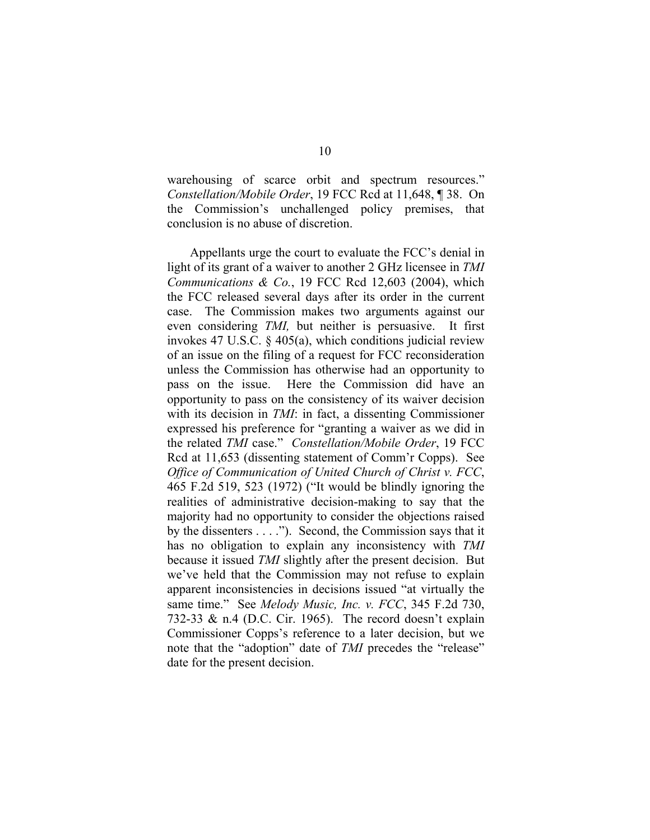warehousing of scarce orbit and spectrum resources." *Constellation/Mobile Order*, 19 FCC Rcd at 11,648, ¶ 38. On the Commission's unchallenged policy premises, that conclusion is no abuse of discretion.

Appellants urge the court to evaluate the FCC's denial in light of its grant of a waiver to another 2 GHz licensee in *TMI Communications & Co.*, 19 FCC Rcd 12,603 (2004), which the FCC released several days after its order in the current case. The Commission makes two arguments against our even considering *TMI,* but neither is persuasive. It first invokes 47 U.S.C. § 405(a), which conditions judicial review of an issue on the filing of a request for FCC reconsideration unless the Commission has otherwise had an opportunity to pass on the issue. Here the Commission did have an opportunity to pass on the consistency of its waiver decision with its decision in *TMI*: in fact, a dissenting Commissioner expressed his preference for "granting a waiver as we did in the related *TMI* case." *Constellation/Mobile Order*, 19 FCC Rcd at 11,653 (dissenting statement of Comm'r Copps). See *Office of Communication of United Church of Christ v. FCC*, 465 F.2d 519, 523 (1972) ("It would be blindly ignoring the realities of administrative decision-making to say that the majority had no opportunity to consider the objections raised by the dissenters . . . ."). Second, the Commission says that it has no obligation to explain any inconsistency with *TMI* because it issued *TMI* slightly after the present decision. But we've held that the Commission may not refuse to explain apparent inconsistencies in decisions issued "at virtually the same time." See *Melody Music, Inc. v. FCC*, 345 F.2d 730, 732-33 & n.4 (D.C. Cir. 1965). The record doesn't explain Commissioner Copps's reference to a later decision, but we note that the "adoption" date of *TMI* precedes the "release" date for the present decision.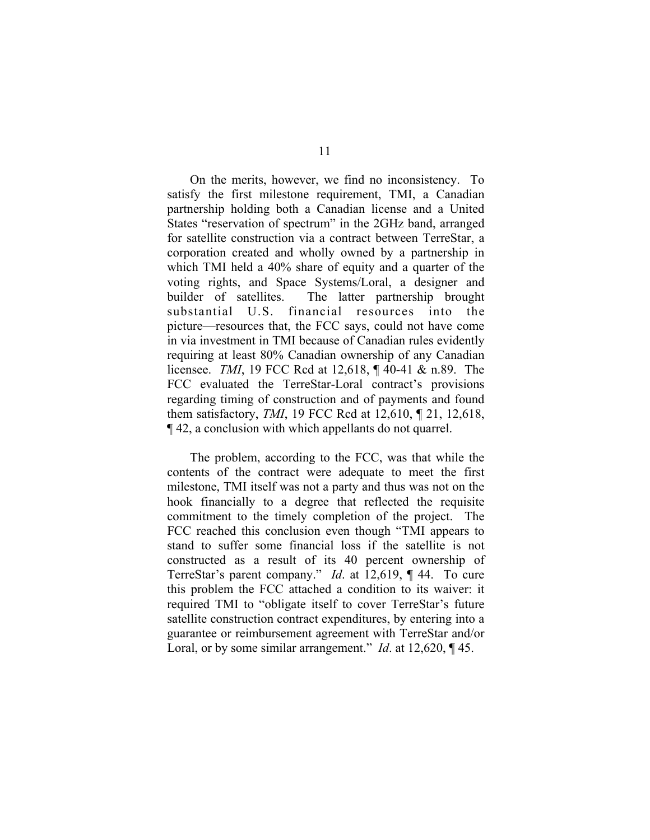On the merits, however, we find no inconsistency. To satisfy the first milestone requirement, TMI, a Canadian partnership holding both a Canadian license and a United States "reservation of spectrum" in the 2GHz band, arranged for satellite construction via a contract between TerreStar, a corporation created and wholly owned by a partnership in which TMI held a 40% share of equity and a quarter of the voting rights, and Space Systems/Loral, a designer and builder of satellites. The latter partnership brought substantial U.S. financial resources into the picture—resources that, the FCC says, could not have come in via investment in TMI because of Canadian rules evidently requiring at least 80% Canadian ownership of any Canadian licensee. *TMI*, 19 FCC Rcd at 12,618, ¶ 40-41 & n.89. The FCC evaluated the TerreStar-Loral contract's provisions regarding timing of construction and of payments and found them satisfactory, *TMI*, 19 FCC Rcd at 12,610, ¶ 21, 12,618, ¶ 42, a conclusion with which appellants do not quarrel.

The problem, according to the FCC, was that while the contents of the contract were adequate to meet the first milestone, TMI itself was not a party and thus was not on the hook financially to a degree that reflected the requisite commitment to the timely completion of the project. The FCC reached this conclusion even though "TMI appears to stand to suffer some financial loss if the satellite is not constructed as a result of its 40 percent ownership of TerreStar's parent company." *Id*. at 12,619, ¶ 44. To cure this problem the FCC attached a condition to its waiver: it required TMI to "obligate itself to cover TerreStar's future satellite construction contract expenditures, by entering into a guarantee or reimbursement agreement with TerreStar and/or Loral, or by some similar arrangement." *Id*. at 12,620, ¶ 45.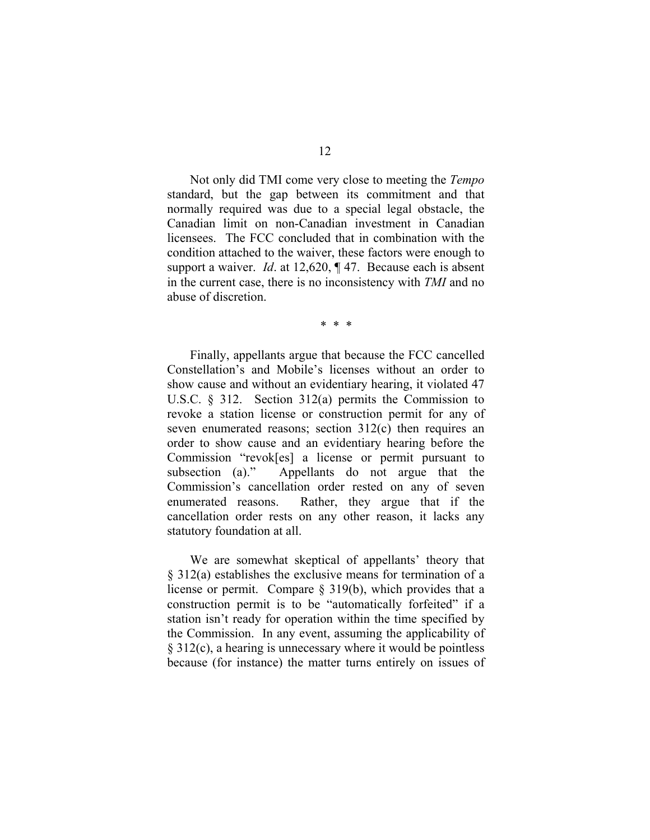Not only did TMI come very close to meeting the *Tempo* standard, but the gap between its commitment and that normally required was due to a special legal obstacle, the Canadian limit on non-Canadian investment in Canadian licensees. The FCC concluded that in combination with the condition attached to the waiver, these factors were enough to support a waiver. *Id*. at 12,620, ¶ 47. Because each is absent in the current case, there is no inconsistency with *TMI* and no abuse of discretion.

\* \* \*

Finally, appellants argue that because the FCC cancelled Constellation's and Mobile's licenses without an order to show cause and without an evidentiary hearing, it violated 47 U.S.C. § 312. Section 312(a) permits the Commission to revoke a station license or construction permit for any of seven enumerated reasons; section 312(c) then requires an order to show cause and an evidentiary hearing before the Commission "revok[es] a license or permit pursuant to subsection (a)." Appellants do not argue that the Commission's cancellation order rested on any of seven enumerated reasons. Rather, they argue that if the cancellation order rests on any other reason, it lacks any statutory foundation at all.

We are somewhat skeptical of appellants' theory that § 312(a) establishes the exclusive means for termination of a license or permit. Compare § 319(b), which provides that a construction permit is to be "automatically forfeited" if a station isn't ready for operation within the time specified by the Commission. In any event, assuming the applicability of § 312(c), a hearing is unnecessary where it would be pointless because (for instance) the matter turns entirely on issues of